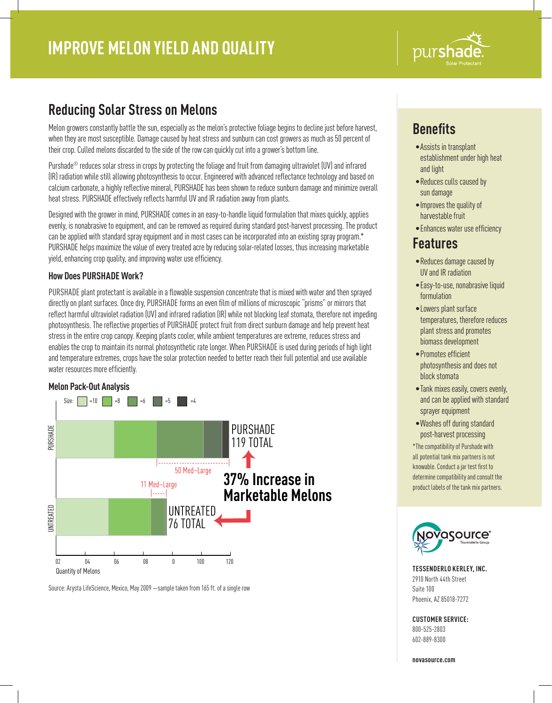

## **Reducing Solar Stress on Melons**

Melon growers constantly battle the sun, especially as the melon's protective foliage begins to decline just before harvest, when they are most susceptible. Damage caused by heat stress and sunburn can cost growers as much as 50 percent of their crop. Culled melons discarded to the side of the row can quickly cut into a grower's bottom line.

Purshade® reduces solar stress in crops by protecting the foliage and fruit from damaging ultraviolet (UV) and infrared (IR) radiation while still allowing photosynthesis to occur. Engineered with advanced reflectance technology and based on calcium carbonate, a highly reflective mineral, PURSHADE has been shown to reduce sunburn damage and minimize overall heat stress. PURSHADE effectively reflects harmful UV and IR radiation away from plants.

Designed with the grower in mind, PURSHADE comes in an easy-to-handle liquid formulation that mixes quickly, applies evenly, is nonabrasive to equipment, and can be removed as required during standard post-harvest processing. The product can be applied with standard spray equipment and in most cases can be incorporated into an existing spray program.\* PURSHADE helps maximize the value of every treated acre by reducing solar-related losses, thus increasing marketable yield, enhancing crop quality, and improving water use efficiency.

### **How Does PURSHADE Work?**

PURSHADE plant protectant is available in a flowable suspension concentrate that is mixed with water and then sprayed directly on plant surfaces. Once dry, PURSHADE forms an even film of millions of microscopic "prisms" or mirrors that reflect harmful ultraviolet radiation (UV) and infrared radiation (IR) while not blocking leaf stomata, therefore not impeding photosynthesis. The reflective properties of PURSHADE protect fruit from direct sunburn damage and help prevent heat stress in the entire crop canopy. Keeping plants cooler, while ambient temperatures are extreme, reduces stress and enables the crop to maintain its normal photosynthetic rate longer. When PURSHADE is used during periods of high light and temperature extremes, crops have the solar protection needed to better reach their full potential and use available water resources more efficiently.

#### **Melon Pack-Out Analysis**



Source: Arysta LifeScience, Mexico, May 2009 —sample taken from 165 ft. of a single row

# **Benefits**

- •Assists in transplant establishment under high heat and light
- •Reduces culls caused by sun damage
- •Improves the quality of harvestable fruit
- •Enhances water use efficiency

## **Features**

- •Reduces damage caused by UV and IR radiation
- •Easy-to-use, nonabrasive liquid formulation
- •Lowers plant surface temperatures, therefore reduces plant stress and promotes biomass development
- •Promotes efficient photosynthesis and does not block stomata
- •Tank mixes easily, covers evenly, and can be applied with standard sprayer equipment
- •Washes off during standard post-harvest processing \*The compatibility of Purshade with all potential tank mix partners is not knowable. Conduct a jar test first to determine compatibility and consult the product labels of the tank mix partners.



**TESSENDERLO KERLEY, INC.** 2910 North 44th Street Suite 100 Phoenix, AZ 85018-7272

## **CUSTOMER SERVICE:**

800-525-2803 602-889-8300

**novasource.com**